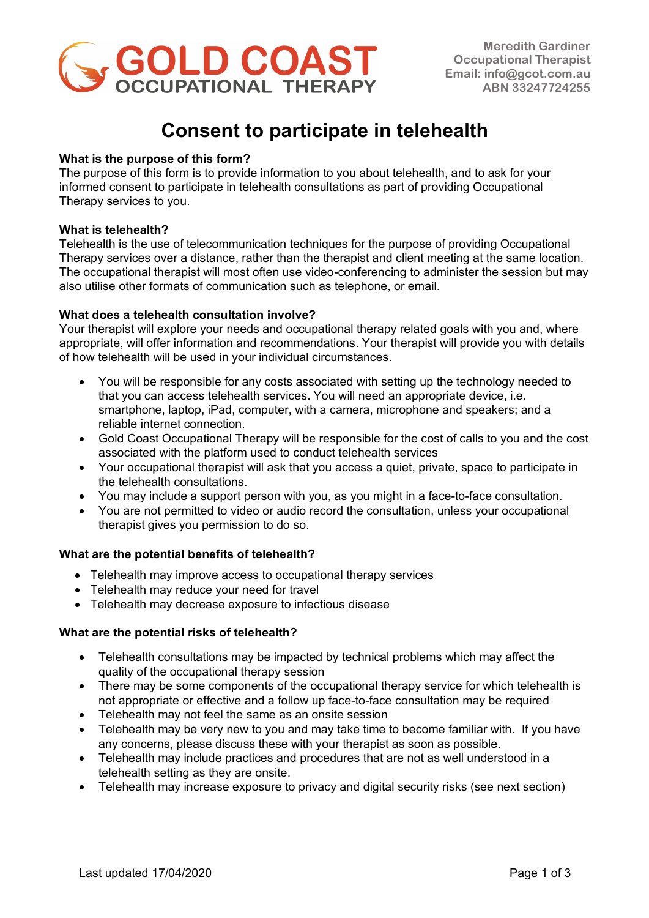

## **Consent to participate in telehealth**

### **What is the purpose of this form?**

The purpose of this form is to provide information to you about telehealth, and to ask for your informed consent to participate in telehealth consultations as part of providing Occupational Therapy services to you.

#### **What is telehealth?**

Telehealth is the use of telecommunication techniques for the purpose of providing Occupational Therapy services over a distance, rather than the therapist and client meeting at the same location. The occupational therapist will most often use video-conferencing to administer the session but may also utilise other formats of communication such as telephone, or email.

### **What does a telehealth consultation involve?**

Your therapist will explore your needs and occupational therapy related goals with you and, where appropriate, will offer information and recommendations. Your therapist will provide you with details of how telehealth will be used in your individual circumstances.

- You will be responsible for any costs associated with setting up the technology needed to that you can access telehealth services. You will need an appropriate device, i.e. smartphone, laptop, iPad, computer, with a camera, microphone and speakers; and a reliable internet connection.
- Gold Coast Occupational Therapy will be responsible for the cost of calls to you and the cost associated with the platform used to conduct telehealth services
- Your occupational therapist will ask that you access a quiet, private, space to participate in the telehealth consultations.
- You may include a support person with you, as you might in a face-to-face consultation.
- You are not permitted to video or audio record the consultation, unless your occupational therapist gives you permission to do so.

#### **What are the potential benefits of telehealth?**

- Telehealth may improve access to occupational therapy services
- Telehealth may reduce your need for travel
- Telehealth may decrease exposure to infectious disease

#### **What are the potential risks of telehealth?**

- Telehealth consultations may be impacted by technical problems which may affect the quality of the occupational therapy session
- There may be some components of the occupational therapy service for which telehealth is not appropriate or effective and a follow up face-to-face consultation may be required
- Telehealth may not feel the same as an onsite session
- Telehealth may be very new to you and may take time to become familiar with. If you have any concerns, please discuss these with your therapist as soon as possible.
- Telehealth may include practices and procedures that are not as well understood in a telehealth setting as they are onsite.
- Telehealth may increase exposure to privacy and digital security risks (see next section)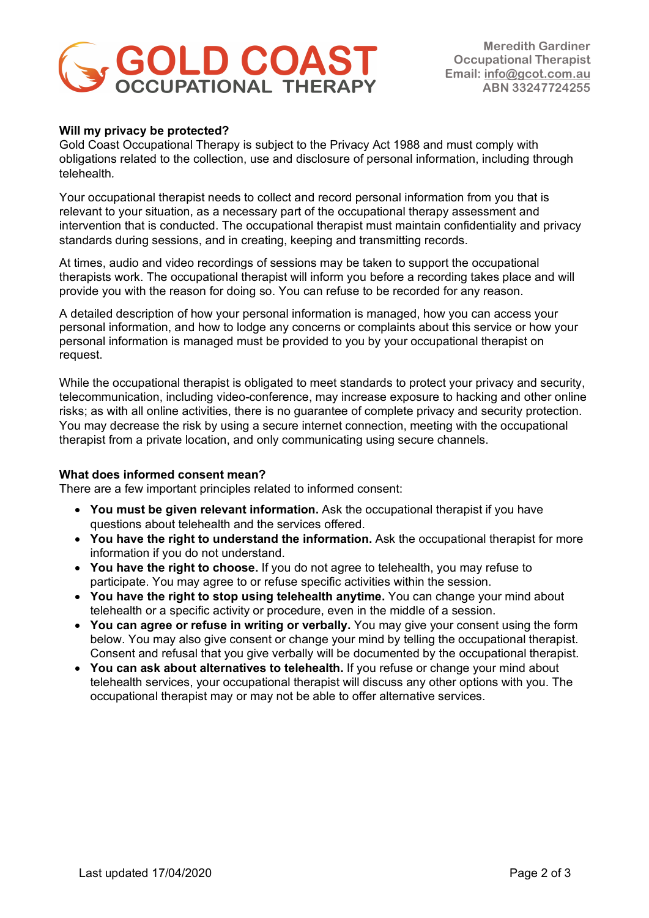# **SOLD COAST**

**Meredith Gardiner Occupational Therapist Email: info@gcot.com.au ABN 33247724255** 

#### **Will my privacy be protected?**

Gold Coast Occupational Therapy is subject to the Privacy Act 1988 and must comply with obligations related to the collection, use and disclosure of personal information, including through telehealth*.*

Your occupational therapist needs to collect and record personal information from you that is relevant to your situation, as a necessary part of the occupational therapy assessment and intervention that is conducted. The occupational therapist must maintain confidentiality and privacy standards during sessions, and in creating, keeping and transmitting records.

At times, audio and video recordings of sessions may be taken to support the occupational therapists work. The occupational therapist will inform you before a recording takes place and will provide you with the reason for doing so. You can refuse to be recorded for any reason.

A detailed description of how your personal information is managed, how you can access your personal information, and how to lodge any concerns or complaints about this service or how your personal information is managed must be provided to you by your occupational therapist on request.

While the occupational therapist is obligated to meet standards to protect your privacy and security, telecommunication, including video-conference, may increase exposure to hacking and other online risks; as with all online activities, there is no guarantee of complete privacy and security protection. You may decrease the risk by using a secure internet connection, meeting with the occupational therapist from a private location, and only communicating using secure channels.

#### **What does informed consent mean?**

There are a few important principles related to informed consent:

- **You must be given relevant information.** Ask the occupational therapist if you have questions about telehealth and the services offered.
- **You have the right to understand the information.** Ask the occupational therapist for more information if you do not understand.
- **You have the right to choose.** If you do not agree to telehealth, you may refuse to participate. You may agree to or refuse specific activities within the session.
- **You have the right to stop using telehealth anytime.** You can change your mind about telehealth or a specific activity or procedure, even in the middle of a session.
- **You can agree or refuse in writing or verbally.** You may give your consent using the form below. You may also give consent or change your mind by telling the occupational therapist. Consent and refusal that you give verbally will be documented by the occupational therapist.
- **You can ask about alternatives to telehealth.** If you refuse or change your mind about telehealth services, your occupational therapist will discuss any other options with you. The occupational therapist may or may not be able to offer alternative services.